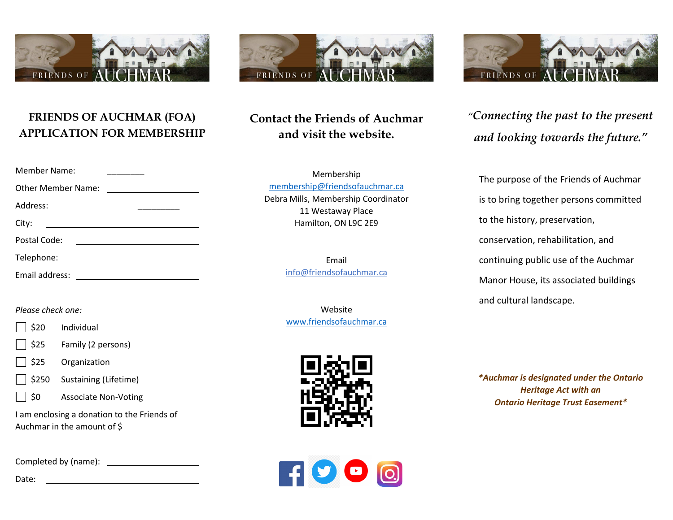

#### **FRIENDS OF AUCHMAR (FOA) APPLICATION FOR MEMBERSHIP**

| <b>Other Member Name:</b> |                                                           |  |
|---------------------------|-----------------------------------------------------------|--|
|                           |                                                           |  |
| City:                     |                                                           |  |
| Postal Code:              | <u> 1989 - Andrea Station Books, amerikansk politik (</u> |  |
| Telephone:                |                                                           |  |
| Email address:            | <u> 1989 - Johann Barbara, martin a</u>                   |  |

#### *Please check one:*

- \$20 Individual
- \$25 Family (2 persons)
- \$25 Organization
- \$250 Sustaining (Lifetime)



I am enclosing a donation to the Friends of Auchmar in the amount of \$

Completed by (name):

Date:



# **Contact the Friends of Auchmar and visit the website.**

Membership [membership@friendsofauchmar.ca](mailto:membership@friendsofauchmar.ca) Debra Mills, Membership Coordinator 11 Westaway Place Hamilton, ON L9C 2E9

> Email info@friendsofauchmar.ca

> Website [www.friendsofauchmar.ca](http://www.friendsofauchmar.ca/)







*"Connecting the past to the present and looking towards the future."*

The purpose of the Friends of Auchmar is to bring together persons committed to the history, preservation, conservation, rehabilitation, and continuing public use of the Auchmar Manor House, its associated buildings and cultural landscape.

*\*Auchmar is designated under the Ontario Heritage Act with an Ontario Heritage Trust Easement\**